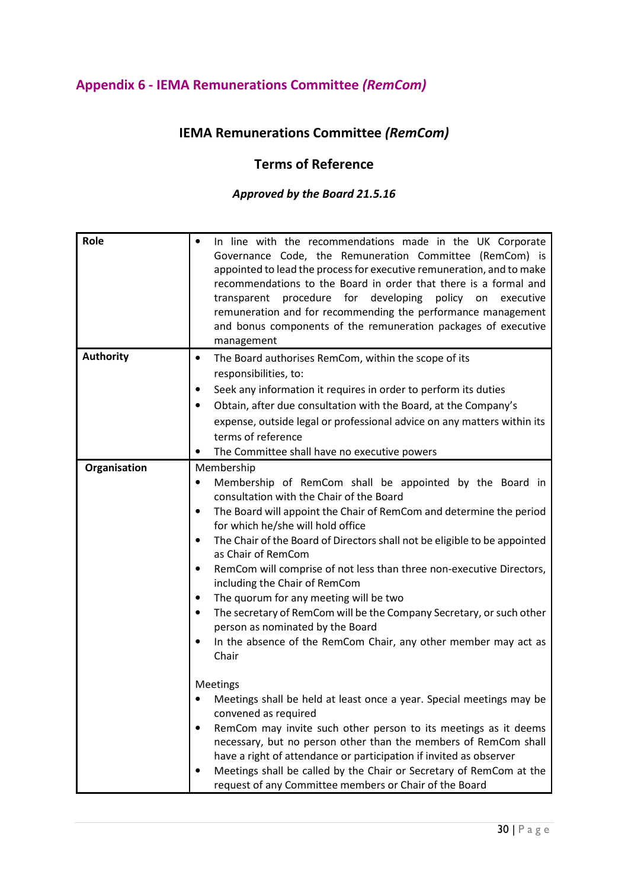# Appendix 6 - IEMA Remunerations Committee (RemCom)

# IEMA Remunerations Committee (RemCom)

### Terms of Reference

#### Approved by the Board 21.5.16

| Role             | In line with the recommendations made in the UK Corporate<br>Governance Code, the Remuneration Committee (RemCom) is<br>appointed to lead the process for executive remuneration, and to make<br>recommendations to the Board in order that there is a formal and<br>procedure for<br>developing<br>policy<br>transparent<br>on<br>executive<br>remuneration and for recommending the performance management<br>and bonus components of the remuneration packages of executive<br>management                                                                                                                                                                                                                                                                                                                                                                                                                                                                                                                                                                                                                                                                                               |
|------------------|--------------------------------------------------------------------------------------------------------------------------------------------------------------------------------------------------------------------------------------------------------------------------------------------------------------------------------------------------------------------------------------------------------------------------------------------------------------------------------------------------------------------------------------------------------------------------------------------------------------------------------------------------------------------------------------------------------------------------------------------------------------------------------------------------------------------------------------------------------------------------------------------------------------------------------------------------------------------------------------------------------------------------------------------------------------------------------------------------------------------------------------------------------------------------------------------|
| <b>Authority</b> | The Board authorises RemCom, within the scope of its<br>٠<br>responsibilities, to:<br>Seek any information it requires in order to perform its duties<br>Obtain, after due consultation with the Board, at the Company's<br>expense, outside legal or professional advice on any matters within its<br>terms of reference<br>The Committee shall have no executive powers                                                                                                                                                                                                                                                                                                                                                                                                                                                                                                                                                                                                                                                                                                                                                                                                                  |
| Organisation     | Membership<br>Membership of RemCom shall be appointed by the Board in<br>٠<br>consultation with the Chair of the Board<br>The Board will appoint the Chair of RemCom and determine the period<br>for which he/she will hold office<br>The Chair of the Board of Directors shall not be eligible to be appointed<br>$\bullet$<br>as Chair of RemCom<br>RemCom will comprise of not less than three non-executive Directors,<br>$\bullet$<br>including the Chair of RemCom<br>The quorum for any meeting will be two<br>٠<br>The secretary of RemCom will be the Company Secretary, or such other<br>$\bullet$<br>person as nominated by the Board<br>In the absence of the RemCom Chair, any other member may act as<br>٠<br>Chair<br>Meetings<br>Meetings shall be held at least once a year. Special meetings may be<br>convened as required<br>RemCom may invite such other person to its meetings as it deems<br>necessary, but no person other than the members of RemCom shall<br>have a right of attendance or participation if invited as observer<br>Meetings shall be called by the Chair or Secretary of RemCom at the<br>request of any Committee members or Chair of the Board |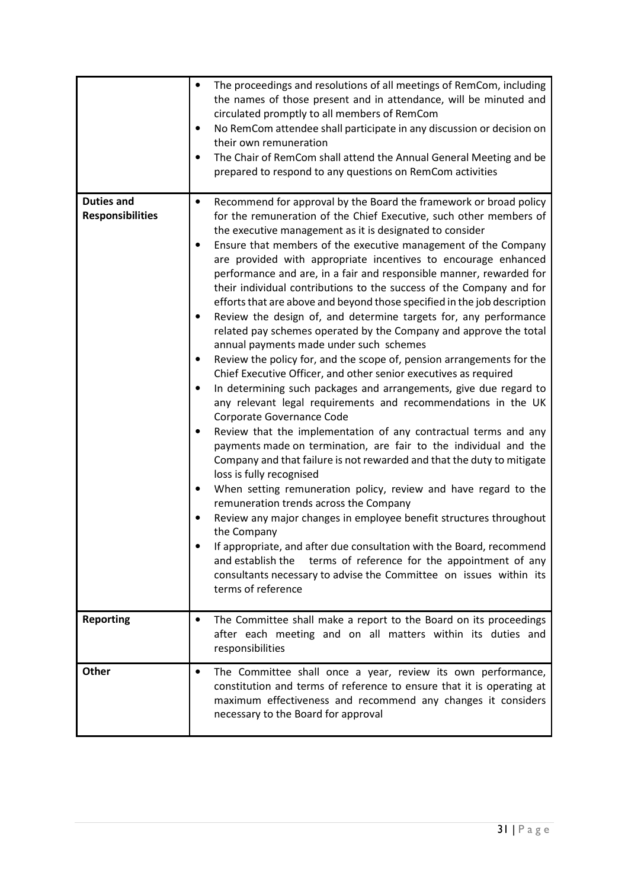|                                              | The proceedings and resolutions of all meetings of RemCom, including<br>the names of those present and in attendance, will be minuted and<br>circulated promptly to all members of RemCom<br>No RemCom attendee shall participate in any discussion or decision on<br>$\bullet$<br>their own remuneration<br>The Chair of RemCom shall attend the Annual General Meeting and be<br>prepared to respond to any questions on RemCom activities                                                                                                                                                                                                                                                                                                                                                                                                                                                                                                                                                                                                                                                                                                                                                                                                                                                                                                                                                                                                                                                                                                                                                                                                                                                                                                                                              |
|----------------------------------------------|-------------------------------------------------------------------------------------------------------------------------------------------------------------------------------------------------------------------------------------------------------------------------------------------------------------------------------------------------------------------------------------------------------------------------------------------------------------------------------------------------------------------------------------------------------------------------------------------------------------------------------------------------------------------------------------------------------------------------------------------------------------------------------------------------------------------------------------------------------------------------------------------------------------------------------------------------------------------------------------------------------------------------------------------------------------------------------------------------------------------------------------------------------------------------------------------------------------------------------------------------------------------------------------------------------------------------------------------------------------------------------------------------------------------------------------------------------------------------------------------------------------------------------------------------------------------------------------------------------------------------------------------------------------------------------------------------------------------------------------------------------------------------------------------|
| <b>Duties and</b><br><b>Responsibilities</b> | Recommend for approval by the Board the framework or broad policy<br>$\bullet$<br>for the remuneration of the Chief Executive, such other members of<br>the executive management as it is designated to consider<br>Ensure that members of the executive management of the Company<br>are provided with appropriate incentives to encourage enhanced<br>performance and are, in a fair and responsible manner, rewarded for<br>their individual contributions to the success of the Company and for<br>efforts that are above and beyond those specified in the job description<br>Review the design of, and determine targets for, any performance<br>related pay schemes operated by the Company and approve the total<br>annual payments made under such schemes<br>Review the policy for, and the scope of, pension arrangements for the<br>Chief Executive Officer, and other senior executives as required<br>In determining such packages and arrangements, give due regard to<br>$\bullet$<br>any relevant legal requirements and recommendations in the UK<br>Corporate Governance Code<br>Review that the implementation of any contractual terms and any<br>payments made on termination, are fair to the individual and the<br>Company and that failure is not rewarded and that the duty to mitigate<br>loss is fully recognised<br>When setting remuneration policy, review and have regard to the<br>remuneration trends across the Company<br>Review any major changes in employee benefit structures throughout<br>the Company<br>If appropriate, and after due consultation with the Board, recommend<br>terms of reference for the appointment of any<br>and establish the<br>consultants necessary to advise the Committee on issues within its<br>terms of reference |
| <b>Reporting</b>                             | The Committee shall make a report to the Board on its proceedings<br>$\bullet$<br>after each meeting and on all matters within its duties and<br>responsibilities                                                                                                                                                                                                                                                                                                                                                                                                                                                                                                                                                                                                                                                                                                                                                                                                                                                                                                                                                                                                                                                                                                                                                                                                                                                                                                                                                                                                                                                                                                                                                                                                                         |
| Other                                        | The Committee shall once a year, review its own performance,<br>$\bullet$<br>constitution and terms of reference to ensure that it is operating at<br>maximum effectiveness and recommend any changes it considers<br>necessary to the Board for approval                                                                                                                                                                                                                                                                                                                                                                                                                                                                                                                                                                                                                                                                                                                                                                                                                                                                                                                                                                                                                                                                                                                                                                                                                                                                                                                                                                                                                                                                                                                                 |